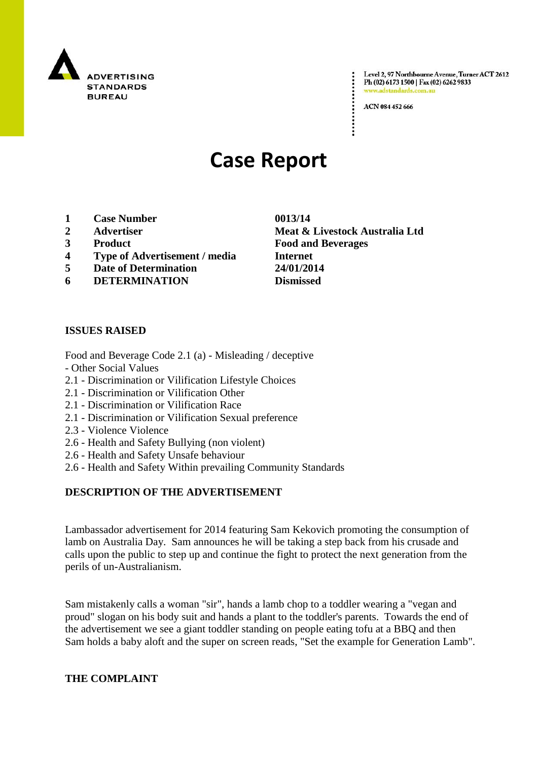

Level 2, 97 Northbourne Avenue, Turner ACT 2612 Ph (02) 6173 1500 | Fax (02) 6262 9833 www.adstandards.com.a

ACN 084 452 666

# **Case Report**

- **1 Case Number 0013/14**
- 
- 
- **4 Type of Advertisement / media Internet**
- **5 Date of Determination 24/01/2014**
- **6 DETERMINATION Dismissed**

## **ISSUES RAISED**

Food and Beverage Code 2.1 (a) - Misleading / deceptive

- Other Social Values
- 2.1 Discrimination or Vilification Lifestyle Choices
- 2.1 Discrimination or Vilification Other
- 2.1 Discrimination or Vilification Race
- 2.1 Discrimination or Vilification Sexual preference
- 2.3 Violence Violence
- 2.6 Health and Safety Bullying (non violent)
- 2.6 Health and Safety Unsafe behaviour
- 2.6 Health and Safety Within prevailing Community Standards

## **DESCRIPTION OF THE ADVERTISEMENT**

Lambassador advertisement for 2014 featuring Sam Kekovich promoting the consumption of lamb on Australia Day. Sam announces he will be taking a step back from his crusade and calls upon the public to step up and continue the fight to protect the next generation from the perils of un-Australianism.

Sam mistakenly calls a woman "sir", hands a lamb chop to a toddler wearing a "vegan and proud" slogan on his body suit and hands a plant to the toddler's parents. Towards the end of the advertisement we see a giant toddler standing on people eating tofu at a BBQ and then Sam holds a baby aloft and the super on screen reads, "Set the example for Generation Lamb".

#### **THE COMPLAINT**

**2 Advertiser Meat & Livestock Australia Ltd 3 Product Food and Beverages**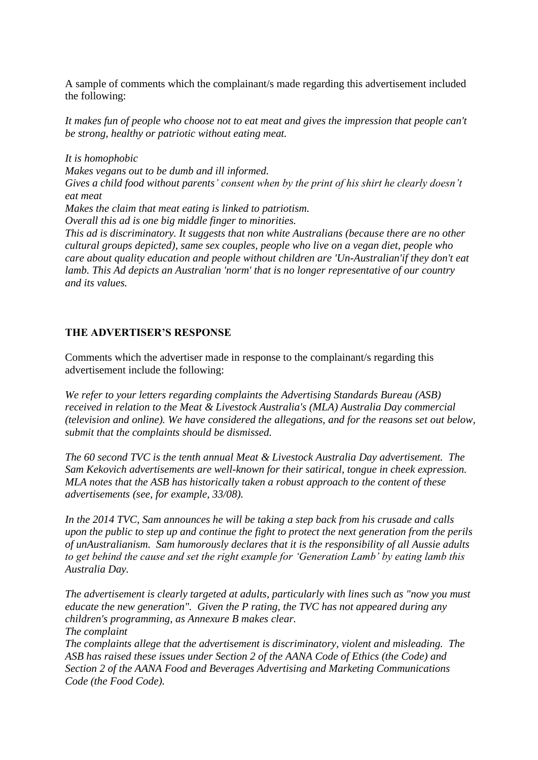A sample of comments which the complainant/s made regarding this advertisement included the following:

*It makes fun of people who choose not to eat meat and gives the impression that people can't be strong, healthy or patriotic without eating meat.*

*It is homophobic Makes vegans out to be dumb and ill informed. Gives a child food without parents' consent when by the print of his shirt he clearly doesn't eat meat Makes the claim that meat eating is linked to patriotism. Overall this ad is one big middle finger to minorities. This ad is discriminatory. It suggests that non white Australians (because there are no other cultural groups depicted), same sex couples, people who live on a vegan diet, people who care about quality education and people without children are 'Un-Australian'if they don't eat lamb. This Ad depicts an Australian 'norm' that is no longer representative of our country and its values.*

## **THE ADVERTISER'S RESPONSE**

Comments which the advertiser made in response to the complainant/s regarding this advertisement include the following:

*We refer to your letters regarding complaints the Advertising Standards Bureau (ASB) received in relation to the Meat & Livestock Australia's (MLA) Australia Day commercial (television and online). We have considered the allegations, and for the reasons set out below, submit that the complaints should be dismissed.* 

*The 60 second TVC is the tenth annual Meat & Livestock Australia Day advertisement. The Sam Kekovich advertisements are well-known for their satirical, tongue in cheek expression. MLA notes that the ASB has historically taken a robust approach to the content of these advertisements (see, for example, 33/08).* 

*In the 2014 TVC, Sam announces he will be taking a step back from his crusade and calls upon the public to step up and continue the fight to protect the next generation from the perils of unAustralianism. Sam humorously declares that it is the responsibility of all Aussie adults to get behind the cause and set the right example for 'Generation Lamb' by eating lamb this Australia Day.* 

*The advertisement is clearly targeted at adults, particularly with lines such as "now you must educate the new generation". Given the P rating, the TVC has not appeared during any children's programming, as Annexure B makes clear. The complaint The complaints allege that the advertisement is discriminatory, violent and misleading. The ASB has raised these issues under Section 2 of the AANA Code of Ethics (the Code) and Section 2 of the AANA Food and Beverages Advertising and Marketing Communications Code (the Food Code).*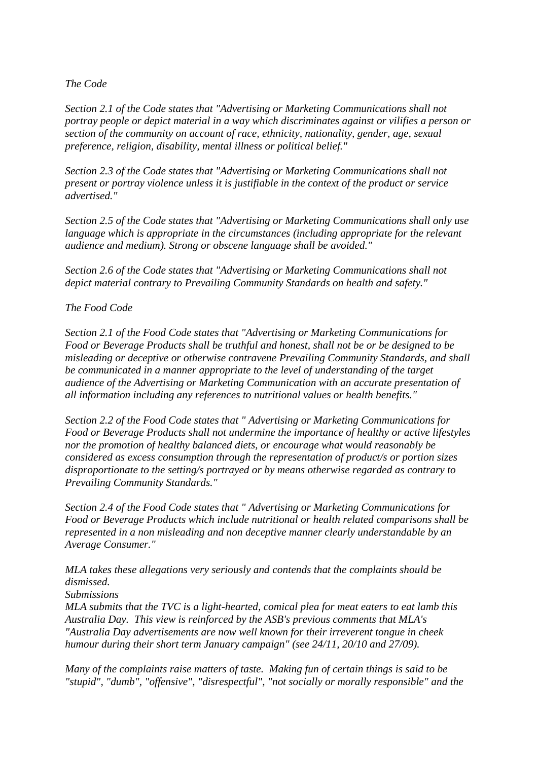## *The Code*

*Section 2.1 of the Code states that "Advertising or Marketing Communications shall not portray people or depict material in a way which discriminates against or vilifies a person or section of the community on account of race, ethnicity, nationality, gender, age, sexual preference, religion, disability, mental illness or political belief."*

*Section 2.3 of the Code states that "Advertising or Marketing Communications shall not present or portray violence unless it is justifiable in the context of the product or service advertised."*

*Section 2.5 of the Code states that "Advertising or Marketing Communications shall only use language which is appropriate in the circumstances (including appropriate for the relevant audience and medium). Strong or obscene language shall be avoided."*

*Section 2.6 of the Code states that "Advertising or Marketing Communications shall not depict material contrary to Prevailing Community Standards on health and safety."*

## *The Food Code*

*Section 2.1 of the Food Code states that "Advertising or Marketing Communications for Food or Beverage Products shall be truthful and honest, shall not be or be designed to be misleading or deceptive or otherwise contravene Prevailing Community Standards, and shall be communicated in a manner appropriate to the level of understanding of the target audience of the Advertising or Marketing Communication with an accurate presentation of all information including any references to nutritional values or health benefits."*

*Section 2.2 of the Food Code states that " Advertising or Marketing Communications for Food or Beverage Products shall not undermine the importance of healthy or active lifestyles nor the promotion of healthy balanced diets, or encourage what would reasonably be considered as excess consumption through the representation of product/s or portion sizes disproportionate to the setting/s portrayed or by means otherwise regarded as contrary to Prevailing Community Standards."*

*Section 2.4 of the Food Code states that " Advertising or Marketing Communications for Food or Beverage Products which include nutritional or health related comparisons shall be represented in a non misleading and non deceptive manner clearly understandable by an Average Consumer."*

*MLA takes these allegations very seriously and contends that the complaints should be dismissed.*

*Submissions*

*MLA submits that the TVC is a light-hearted, comical plea for meat eaters to eat lamb this Australia Day. This view is reinforced by the ASB's previous comments that MLA's "Australia Day advertisements are now well known for their irreverent tongue in cheek humour during their short term January campaign" (see 24/11, 20/10 and 27/09).* 

*Many of the complaints raise matters of taste. Making fun of certain things is said to be "stupid", "dumb", "offensive", "disrespectful", "not socially or morally responsible" and the*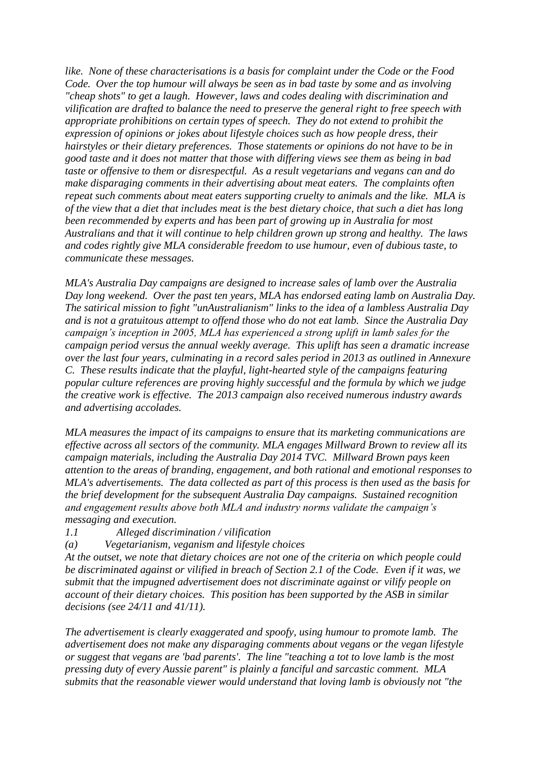*like. None of these characterisations is a basis for complaint under the Code or the Food Code. Over the top humour will always be seen as in bad taste by some and as involving "cheap shots" to get a laugh. However, laws and codes dealing with discrimination and vilification are drafted to balance the need to preserve the general right to free speech with appropriate prohibitions on certain types of speech. They do not extend to prohibit the expression of opinions or jokes about lifestyle choices such as how people dress, their hairstyles or their dietary preferences. Those statements or opinions do not have to be in good taste and it does not matter that those with differing views see them as being in bad taste or offensive to them or disrespectful. As a result vegetarians and vegans can and do make disparaging comments in their advertising about meat eaters. The complaints often repeat such comments about meat eaters supporting cruelty to animals and the like. MLA is of the view that a diet that includes meat is the best dietary choice, that such a diet has long been recommended by experts and has been part of growing up in Australia for most Australians and that it will continue to help children grown up strong and healthy. The laws and codes rightly give MLA considerable freedom to use humour, even of dubious taste, to communicate these messages.*

*MLA's Australia Day campaigns are designed to increase sales of lamb over the Australia Day long weekend. Over the past ten years, MLA has endorsed eating lamb on Australia Day. The satirical mission to fight "unAustralianism" links to the idea of a lambless Australia Day and is not a gratuitous attempt to offend those who do not eat lamb. Since the Australia Day campaign's inception in 2005, MLA has experienced a strong uplift in lamb sales for the campaign period versus the annual weekly average. This uplift has seen a dramatic increase over the last four years, culminating in a record sales period in 2013 as outlined in Annexure C. These results indicate that the playful, light-hearted style of the campaigns featuring popular culture references are proving highly successful and the formula by which we judge the creative work is effective. The 2013 campaign also received numerous industry awards and advertising accolades.*

*MLA measures the impact of its campaigns to ensure that its marketing communications are effective across all sectors of the community. MLA engages Millward Brown to review all its campaign materials, including the Australia Day 2014 TVC. Millward Brown pays keen attention to the areas of branding, engagement, and both rational and emotional responses to MLA's advertisements. The data collected as part of this process is then used as the basis for the brief development for the subsequent Australia Day campaigns. Sustained recognition and engagement results above both MLA and industry norms validate the campaign's messaging and execution.* 

- *1.1 Alleged discrimination / vilification*
- *(a) Vegetarianism, veganism and lifestyle choices*

*At the outset, we note that dietary choices are not one of the criteria on which people could be discriminated against or vilified in breach of Section 2.1 of the Code. Even if it was, we submit that the impugned advertisement does not discriminate against or vilify people on account of their dietary choices. This position has been supported by the ASB in similar decisions (see 24/11 and 41/11).*

*The advertisement is clearly exaggerated and spoofy, using humour to promote lamb. The advertisement does not make any disparaging comments about vegans or the vegan lifestyle or suggest that vegans are 'bad parents'. The line "teaching a tot to love lamb is the most pressing duty of every Aussie parent" is plainly a fanciful and sarcastic comment. MLA submits that the reasonable viewer would understand that loving lamb is obviously not "the*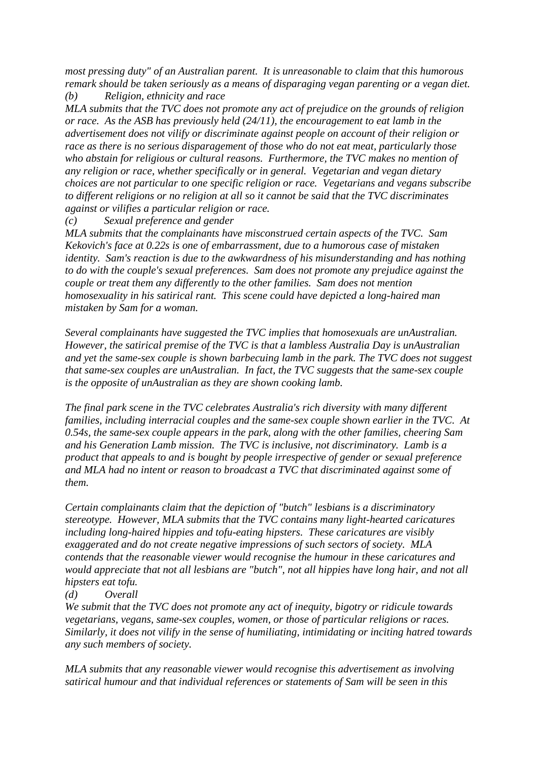*most pressing duty" of an Australian parent. It is unreasonable to claim that this humorous remark should be taken seriously as a means of disparaging vegan parenting or a vegan diet. (b) Religion, ethnicity and race*

*MLA submits that the TVC does not promote any act of prejudice on the grounds of religion or race. As the ASB has previously held (24/11), the encouragement to eat lamb in the advertisement does not vilify or discriminate against people on account of their religion or race as there is no serious disparagement of those who do not eat meat, particularly those who abstain for religious or cultural reasons. Furthermore, the TVC makes no mention of any religion or race, whether specifically or in general. Vegetarian and vegan dietary choices are not particular to one specific religion or race. Vegetarians and vegans subscribe to different religions or no religion at all so it cannot be said that the TVC discriminates against or vilifies a particular religion or race.*

*(c) Sexual preference and gender* 

*MLA submits that the complainants have misconstrued certain aspects of the TVC. Sam Kekovich's face at 0.22s is one of embarrassment, due to a humorous case of mistaken identity. Sam's reaction is due to the awkwardness of his misunderstanding and has nothing to do with the couple's sexual preferences. Sam does not promote any prejudice against the couple or treat them any differently to the other families. Sam does not mention homosexuality in his satirical rant. This scene could have depicted a long-haired man mistaken by Sam for a woman.* 

*Several complainants have suggested the TVC implies that homosexuals are unAustralian. However, the satirical premise of the TVC is that a lambless Australia Day is unAustralian and yet the same-sex couple is shown barbecuing lamb in the park. The TVC does not suggest that same-sex couples are unAustralian. In fact, the TVC suggests that the same-sex couple is the opposite of unAustralian as they are shown cooking lamb.*

*The final park scene in the TVC celebrates Australia's rich diversity with many different families, including interracial couples and the same-sex couple shown earlier in the TVC. At 0.54s, the same-sex couple appears in the park, along with the other families, cheering Sam and his Generation Lamb mission. The TVC is inclusive, not discriminatory. Lamb is a product that appeals to and is bought by people irrespective of gender or sexual preference and MLA had no intent or reason to broadcast a TVC that discriminated against some of them.* 

*Certain complainants claim that the depiction of "butch" lesbians is a discriminatory stereotype. However, MLA submits that the TVC contains many light-hearted caricatures including long-haired hippies and tofu-eating hipsters. These caricatures are visibly exaggerated and do not create negative impressions of such sectors of society. MLA contends that the reasonable viewer would recognise the humour in these caricatures and would appreciate that not all lesbians are "butch", not all hippies have long hair, and not all hipsters eat tofu.* 

## *(d) Overall*

*We submit that the TVC does not promote any act of inequity, bigotry or ridicule towards vegetarians, vegans, same-sex couples, women, or those of particular religions or races. Similarly, it does not vilify in the sense of humiliating, intimidating or inciting hatred towards any such members of society.* 

*MLA submits that any reasonable viewer would recognise this advertisement as involving satirical humour and that individual references or statements of Sam will be seen in this*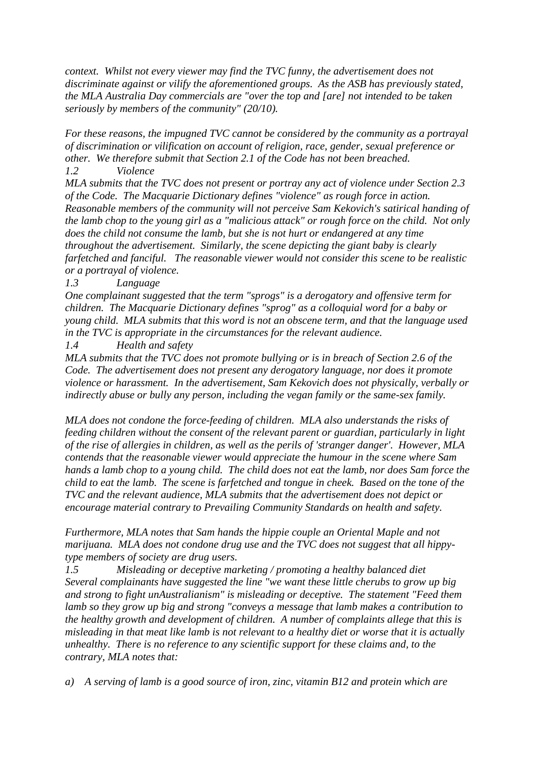*context. Whilst not every viewer may find the TVC funny, the advertisement does not discriminate against or vilify the aforementioned groups. As the ASB has previously stated, the MLA Australia Day commercials are "over the top and [are] not intended to be taken seriously by members of the community" (20/10).* 

*For these reasons, the impugned TVC cannot be considered by the community as a portrayal of discrimination or vilification on account of religion, race, gender, sexual preference or other. We therefore submit that Section 2.1 of the Code has not been breached. 1.2 Violence* 

*MLA submits that the TVC does not present or portray any act of violence under Section 2.3 of the Code. The Macquarie Dictionary defines "violence" as rough force in action. Reasonable members of the community will not perceive Sam Kekovich's satirical handing of the lamb chop to the young girl as a "malicious attack" or rough force on the child. Not only does the child not consume the lamb, but she is not hurt or endangered at any time throughout the advertisement. Similarly, the scene depicting the giant baby is clearly farfetched and fanciful. The reasonable viewer would not consider this scene to be realistic or a portrayal of violence.* 

*1.3 Language* 

*One complainant suggested that the term "sprogs" is a derogatory and offensive term for children. The Macquarie Dictionary defines "sprog" as a colloquial word for a baby or young child. MLA submits that this word is not an obscene term, and that the language used in the TVC is appropriate in the circumstances for the relevant audience.* 

*1.4 Health and safety* 

*MLA submits that the TVC does not promote bullying or is in breach of Section 2.6 of the Code. The advertisement does not present any derogatory language, nor does it promote violence or harassment. In the advertisement, Sam Kekovich does not physically, verbally or indirectly abuse or bully any person, including the vegan family or the same-sex family.*

*MLA does not condone the force-feeding of children. MLA also understands the risks of feeding children without the consent of the relevant parent or guardian, particularly in light of the rise of allergies in children, as well as the perils of 'stranger danger'. However, MLA contends that the reasonable viewer would appreciate the humour in the scene where Sam hands a lamb chop to a young child. The child does not eat the lamb, nor does Sam force the child to eat the lamb. The scene is farfetched and tongue in cheek. Based on the tone of the TVC and the relevant audience, MLA submits that the advertisement does not depict or encourage material contrary to Prevailing Community Standards on health and safety.* 

*Furthermore, MLA notes that Sam hands the hippie couple an Oriental Maple and not marijuana. MLA does not condone drug use and the TVC does not suggest that all hippytype members of society are drug users.* 

*1.5 Misleading or deceptive marketing / promoting a healthy balanced diet Several complainants have suggested the line "we want these little cherubs to grow up big and strong to fight unAustralianism" is misleading or deceptive. The statement "Feed them lamb so they grow up big and strong "conveys a message that lamb makes a contribution to the healthy growth and development of children. A number of complaints allege that this is misleading in that meat like lamb is not relevant to a healthy diet or worse that it is actually unhealthy. There is no reference to any scientific support for these claims and, to the contrary, MLA notes that:*

*a) A serving of lamb is a good source of iron, zinc, vitamin B12 and protein which are*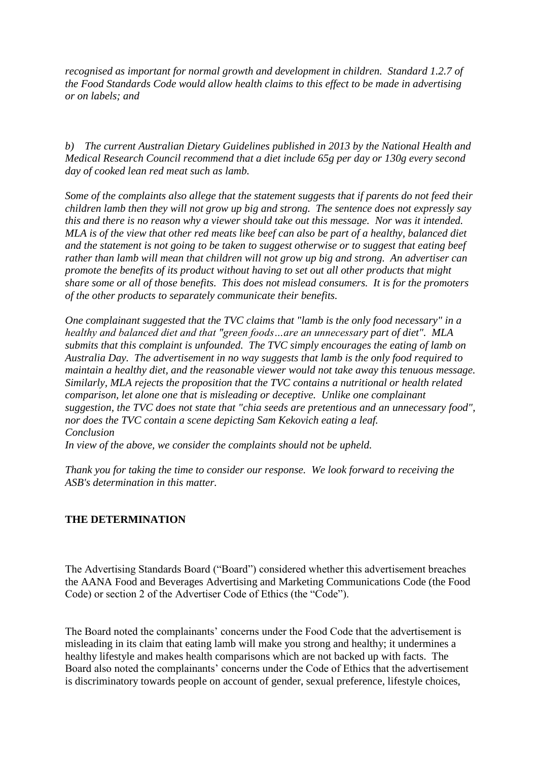*recognised as important for normal growth and development in children. Standard 1.2.7 of the Food Standards Code would allow health claims to this effect to be made in advertising or on labels; and*

*b) The current Australian Dietary Guidelines published in 2013 by the National Health and Medical Research Council recommend that a diet include 65g per day or 130g every second day of cooked lean red meat such as lamb.*

*Some of the complaints also allege that the statement suggests that if parents do not feed their children lamb then they will not grow up big and strong. The sentence does not expressly say this and there is no reason why a viewer should take out this message. Nor was it intended. MLA is of the view that other red meats like beef can also be part of a healthy, balanced diet and the statement is not going to be taken to suggest otherwise or to suggest that eating beef rather than lamb will mean that children will not grow up big and strong. An advertiser can promote the benefits of its product without having to set out all other products that might share some or all of those benefits. This does not mislead consumers. It is for the promoters of the other products to separately communicate their benefits.*

*One complainant suggested that the TVC claims that "lamb is the only food necessary" in a healthy and balanced diet and that "green foods…are an unnecessary part of diet". MLA submits that this complaint is unfounded. The TVC simply encourages the eating of lamb on Australia Day. The advertisement in no way suggests that lamb is the only food required to maintain a healthy diet, and the reasonable viewer would not take away this tenuous message. Similarly, MLA rejects the proposition that the TVC contains a nutritional or health related comparison, let alone one that is misleading or deceptive. Unlike one complainant suggestion, the TVC does not state that "chia seeds are pretentious and an unnecessary food", nor does the TVC contain a scene depicting Sam Kekovich eating a leaf. Conclusion*

*In view of the above, we consider the complaints should not be upheld.* 

*Thank you for taking the time to consider our response. We look forward to receiving the ASB's determination in this matter.*

## **THE DETERMINATION**

The Advertising Standards Board ("Board") considered whether this advertisement breaches the AANA Food and Beverages Advertising and Marketing Communications Code (the Food Code) or section 2 of the Advertiser Code of Ethics (the "Code").

The Board noted the complainants' concerns under the Food Code that the advertisement is misleading in its claim that eating lamb will make you strong and healthy; it undermines a healthy lifestyle and makes health comparisons which are not backed up with facts. The Board also noted the complainants' concerns under the Code of Ethics that the advertisement is discriminatory towards people on account of gender, sexual preference, lifestyle choices,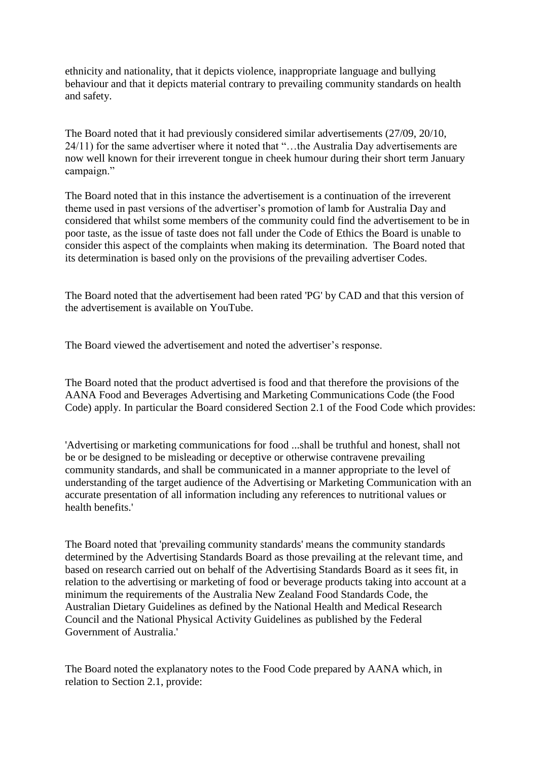ethnicity and nationality, that it depicts violence, inappropriate language and bullying behaviour and that it depicts material contrary to prevailing community standards on health and safety.

The Board noted that it had previously considered similar advertisements (27/09, 20/10, 24/11) for the same advertiser where it noted that "…the Australia Day advertisements are now well known for their irreverent tongue in cheek humour during their short term January campaign."

The Board noted that in this instance the advertisement is a continuation of the irreverent theme used in past versions of the advertiser"s promotion of lamb for Australia Day and considered that whilst some members of the community could find the advertisement to be in poor taste, as the issue of taste does not fall under the Code of Ethics the Board is unable to consider this aspect of the complaints when making its determination. The Board noted that its determination is based only on the provisions of the prevailing advertiser Codes.

The Board noted that the advertisement had been rated 'PG' by CAD and that this version of the advertisement is available on YouTube.

The Board viewed the advertisement and noted the advertiser"s response.

The Board noted that the product advertised is food and that therefore the provisions of the AANA Food and Beverages Advertising and Marketing Communications Code (the Food Code) apply. In particular the Board considered Section 2.1 of the Food Code which provides:

'Advertising or marketing communications for food ...shall be truthful and honest, shall not be or be designed to be misleading or deceptive or otherwise contravene prevailing community standards, and shall be communicated in a manner appropriate to the level of understanding of the target audience of the Advertising or Marketing Communication with an accurate presentation of all information including any references to nutritional values or health benefits.'

The Board noted that 'prevailing community standards' means the community standards determined by the Advertising Standards Board as those prevailing at the relevant time, and based on research carried out on behalf of the Advertising Standards Board as it sees fit, in relation to the advertising or marketing of food or beverage products taking into account at a minimum the requirements of the Australia New Zealand Food Standards Code, the Australian Dietary Guidelines as defined by the National Health and Medical Research Council and the National Physical Activity Guidelines as published by the Federal Government of Australia.'

The Board noted the explanatory notes to the Food Code prepared by AANA which, in relation to Section 2.1, provide: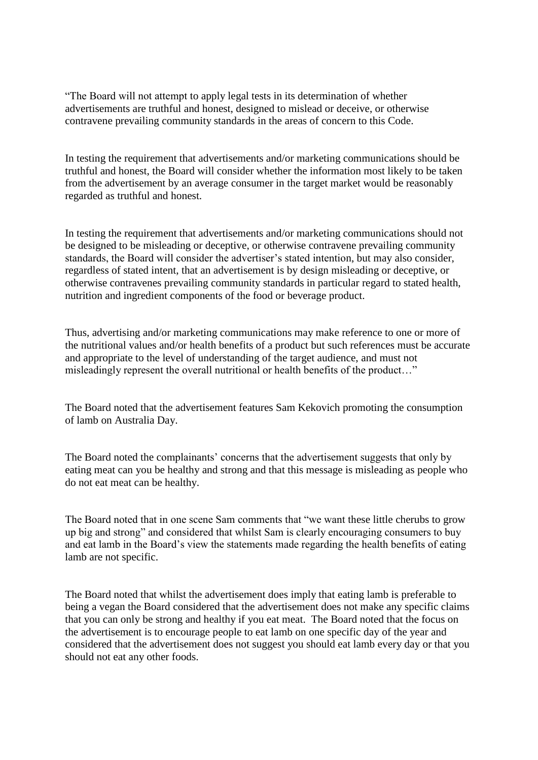"The Board will not attempt to apply legal tests in its determination of whether advertisements are truthful and honest, designed to mislead or deceive, or otherwise contravene prevailing community standards in the areas of concern to this Code.

In testing the requirement that advertisements and/or marketing communications should be truthful and honest, the Board will consider whether the information most likely to be taken from the advertisement by an average consumer in the target market would be reasonably regarded as truthful and honest.

In testing the requirement that advertisements and/or marketing communications should not be designed to be misleading or deceptive, or otherwise contravene prevailing community standards, the Board will consider the advertiser"s stated intention, but may also consider, regardless of stated intent, that an advertisement is by design misleading or deceptive, or otherwise contravenes prevailing community standards in particular regard to stated health, nutrition and ingredient components of the food or beverage product.

Thus, advertising and/or marketing communications may make reference to one or more of the nutritional values and/or health benefits of a product but such references must be accurate and appropriate to the level of understanding of the target audience, and must not misleadingly represent the overall nutritional or health benefits of the product…"

The Board noted that the advertisement features Sam Kekovich promoting the consumption of lamb on Australia Day.

The Board noted the complainants' concerns that the advertisement suggests that only by eating meat can you be healthy and strong and that this message is misleading as people who do not eat meat can be healthy.

The Board noted that in one scene Sam comments that "we want these little cherubs to grow up big and strong" and considered that whilst Sam is clearly encouraging consumers to buy and eat lamb in the Board"s view the statements made regarding the health benefits of eating lamb are not specific.

The Board noted that whilst the advertisement does imply that eating lamb is preferable to being a vegan the Board considered that the advertisement does not make any specific claims that you can only be strong and healthy if you eat meat. The Board noted that the focus on the advertisement is to encourage people to eat lamb on one specific day of the year and considered that the advertisement does not suggest you should eat lamb every day or that you should not eat any other foods.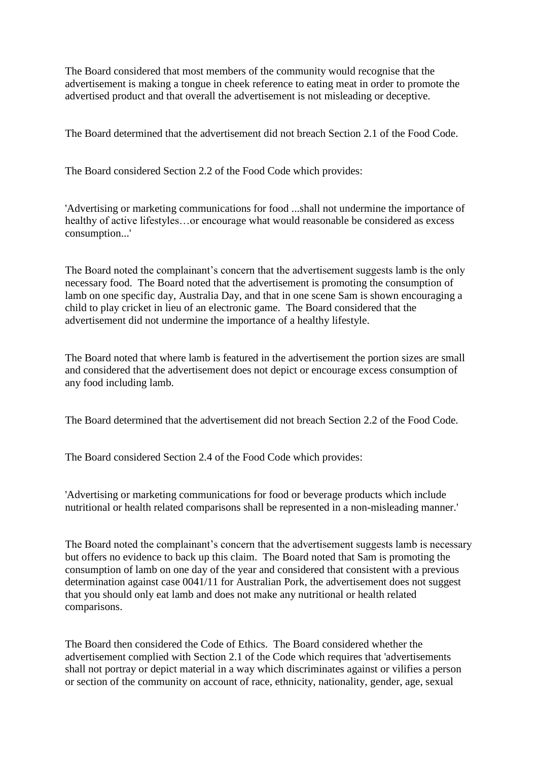The Board considered that most members of the community would recognise that the advertisement is making a tongue in cheek reference to eating meat in order to promote the advertised product and that overall the advertisement is not misleading or deceptive.

The Board determined that the advertisement did not breach Section 2.1 of the Food Code.

The Board considered Section 2.2 of the Food Code which provides:

'Advertising or marketing communications for food ...shall not undermine the importance of healthy of active lifestyles…or encourage what would reasonable be considered as excess consumption...'

The Board noted the complainant's concern that the advertisement suggests lamb is the only necessary food. The Board noted that the advertisement is promoting the consumption of lamb on one specific day, Australia Day, and that in one scene Sam is shown encouraging a child to play cricket in lieu of an electronic game. The Board considered that the advertisement did not undermine the importance of a healthy lifestyle.

The Board noted that where lamb is featured in the advertisement the portion sizes are small and considered that the advertisement does not depict or encourage excess consumption of any food including lamb.

The Board determined that the advertisement did not breach Section 2.2 of the Food Code.

The Board considered Section 2.4 of the Food Code which provides:

'Advertising or marketing communications for food or beverage products which include nutritional or health related comparisons shall be represented in a non-misleading manner.'

The Board noted the complainant's concern that the advertisement suggests lamb is necessary but offers no evidence to back up this claim. The Board noted that Sam is promoting the consumption of lamb on one day of the year and considered that consistent with a previous determination against case 0041/11 for Australian Pork, the advertisement does not suggest that you should only eat lamb and does not make any nutritional or health related comparisons.

The Board then considered the Code of Ethics. The Board considered whether the advertisement complied with Section 2.1 of the Code which requires that 'advertisements shall not portray or depict material in a way which discriminates against or vilifies a person or section of the community on account of race, ethnicity, nationality, gender, age, sexual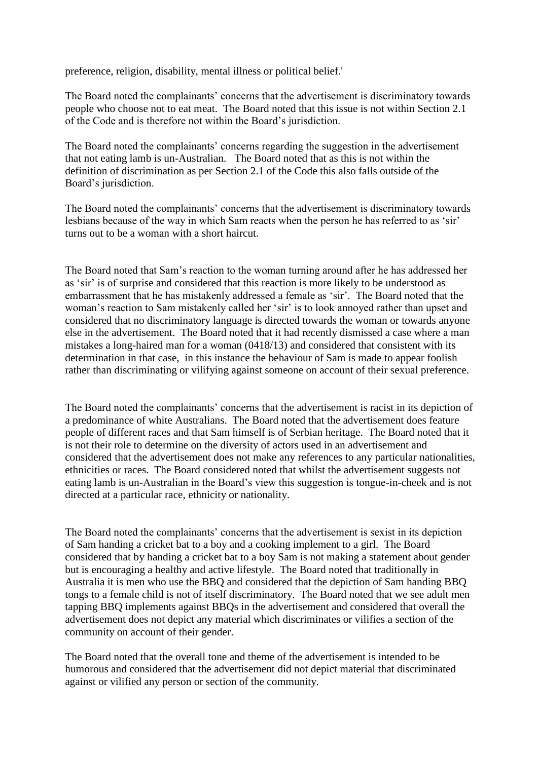preference, religion, disability, mental illness or political belief.'

The Board noted the complainants' concerns that the advertisement is discriminatory towards people who choose not to eat meat. The Board noted that this issue is not within Section 2.1 of the Code and is therefore not within the Board"s jurisdiction.

The Board noted the complainants' concerns regarding the suggestion in the advertisement that not eating lamb is un-Australian. The Board noted that as this is not within the definition of discrimination as per Section 2.1 of the Code this also falls outside of the Board"s jurisdiction.

The Board noted the complainants' concerns that the advertisement is discriminatory towards lesbians because of the way in which Sam reacts when the person he has referred to as "sir" turns out to be a woman with a short haircut.

The Board noted that Sam"s reaction to the woman turning around after he has addressed her as "sir" is of surprise and considered that this reaction is more likely to be understood as embarrassment that he has mistakenly addressed a female as "sir". The Board noted that the woman"s reaction to Sam mistakenly called her "sir" is to look annoyed rather than upset and considered that no discriminatory language is directed towards the woman or towards anyone else in the advertisement. The Board noted that it had recently dismissed a case where a man mistakes a long-haired man for a woman (0418/13) and considered that consistent with its determination in that case, in this instance the behaviour of Sam is made to appear foolish rather than discriminating or vilifying against someone on account of their sexual preference.

The Board noted the complainants" concerns that the advertisement is racist in its depiction of a predominance of white Australians. The Board noted that the advertisement does feature people of different races and that Sam himself is of Serbian heritage. The Board noted that it is not their role to determine on the diversity of actors used in an advertisement and considered that the advertisement does not make any references to any particular nationalities, ethnicities or races. The Board considered noted that whilst the advertisement suggests not eating lamb is un-Australian in the Board"s view this suggestion is tongue-in-cheek and is not directed at a particular race, ethnicity or nationality.

The Board noted the complainants' concerns that the advertisement is sexist in its depiction of Sam handing a cricket bat to a boy and a cooking implement to a girl. The Board considered that by handing a cricket bat to a boy Sam is not making a statement about gender but is encouraging a healthy and active lifestyle. The Board noted that traditionally in Australia it is men who use the BBQ and considered that the depiction of Sam handing BBQ tongs to a female child is not of itself discriminatory. The Board noted that we see adult men tapping BBQ implements against BBQs in the advertisement and considered that overall the advertisement does not depict any material which discriminates or vilifies a section of the community on account of their gender.

The Board noted that the overall tone and theme of the advertisement is intended to be humorous and considered that the advertisement did not depict material that discriminated against or vilified any person or section of the community.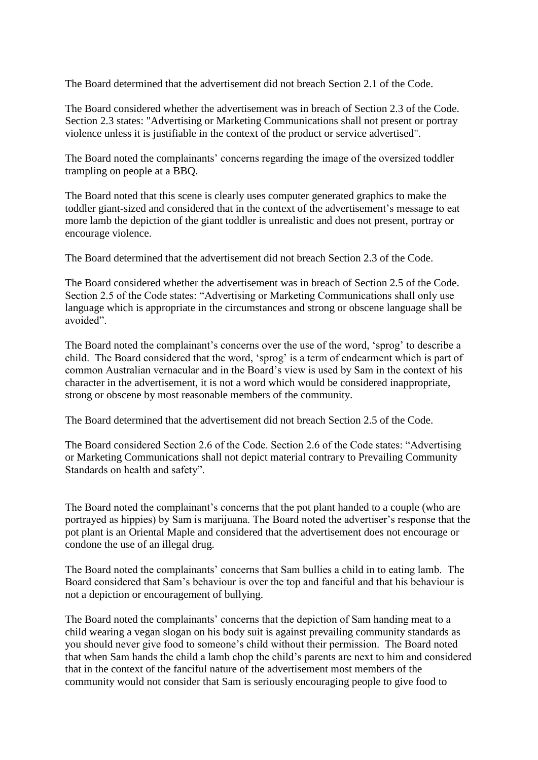The Board determined that the advertisement did not breach Section 2.1 of the Code.

The Board considered whether the advertisement was in breach of Section 2.3 of the Code. Section 2.3 states: "Advertising or Marketing Communications shall not present or portray violence unless it is justifiable in the context of the product or service advertised".

The Board noted the complainants' concerns regarding the image of the oversized toddler trampling on people at a BBQ.

The Board noted that this scene is clearly uses computer generated graphics to make the toddler giant-sized and considered that in the context of the advertisement's message to eat more lamb the depiction of the giant toddler is unrealistic and does not present, portray or encourage violence.

The Board determined that the advertisement did not breach Section 2.3 of the Code.

The Board considered whether the advertisement was in breach of Section 2.5 of the Code. Section 2.5 of the Code states: "Advertising or Marketing Communications shall only use language which is appropriate in the circumstances and strong or obscene language shall be avoided".

The Board noted the complainant's concerns over the use of the word, 'sprog' to describe a child. The Board considered that the word, "sprog" is a term of endearment which is part of common Australian vernacular and in the Board"s view is used by Sam in the context of his character in the advertisement, it is not a word which would be considered inappropriate, strong or obscene by most reasonable members of the community.

The Board determined that the advertisement did not breach Section 2.5 of the Code.

The Board considered Section 2.6 of the Code. Section 2.6 of the Code states: "Advertising or Marketing Communications shall not depict material contrary to Prevailing Community Standards on health and safety".

The Board noted the complainant's concerns that the pot plant handed to a couple (who are portrayed as hippies) by Sam is marijuana. The Board noted the advertiser"s response that the pot plant is an Oriental Maple and considered that the advertisement does not encourage or condone the use of an illegal drug.

The Board noted the complainants" concerns that Sam bullies a child in to eating lamb. The Board considered that Sam"s behaviour is over the top and fanciful and that his behaviour is not a depiction or encouragement of bullying.

The Board noted the complainants' concerns that the depiction of Sam handing meat to a child wearing a vegan slogan on his body suit is against prevailing community standards as you should never give food to someone"s child without their permission. The Board noted that when Sam hands the child a lamb chop the child"s parents are next to him and considered that in the context of the fanciful nature of the advertisement most members of the community would not consider that Sam is seriously encouraging people to give food to